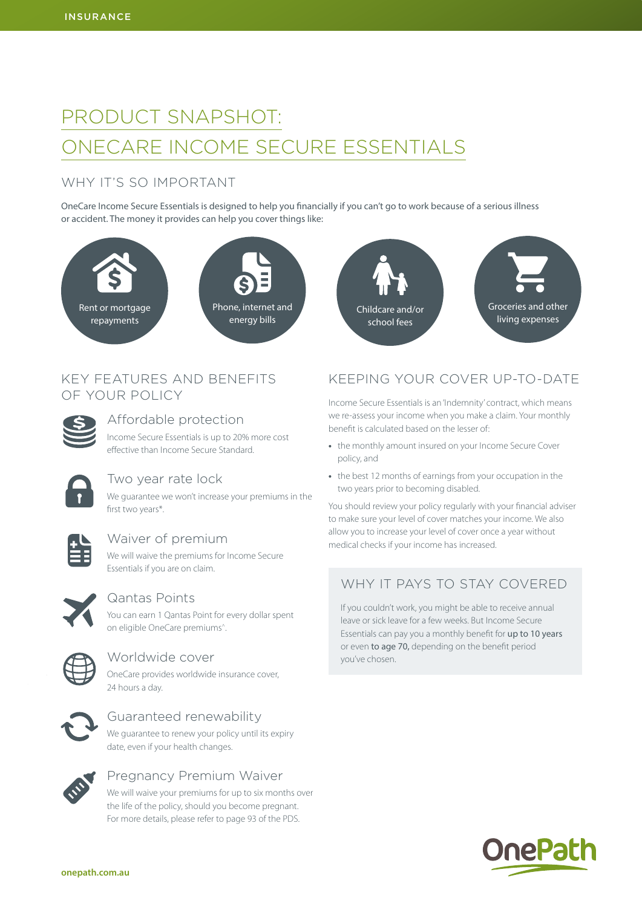# PRODUCT SNAPSHOT: ONECARE INCOME SECURE ESSENTIALS

# WHY IT'S SO IMPORTANT

OneCare Income Secure Essentials is designed to help you financially if you can't go to work because of a serious illness or accident. The money it provides can help you cover things like:



## KEY FEATURES AND BENEFITS OF YOUR POLICY



Affordable protection

Income Secure Essentials is up to 20% more cost effective than Income Secure Standard.



### Two year rate lock

We guarantee we won't increase your premiums in the first two years\*.



### Waiver of premium

We will waive the premiums for Income Secure Essentials if you are on claim.



### Qantas Points

You can earn 1 Qantas Point for every dollar spent on eligible OneCare premiums^.



#### Worldwide cover

OneCare provides worldwide insurance cover, 24 hours a day.



### Guaranteed renewability

We guarantee to renew your policy until its expiry date, even if your health changes.



## Pregnancy Premium Waiver

We will waive your premiums for up to six months over the life of the policy, should you become pregnant. For more details, please refer to page 93 of the PDS.



# KEEPING YOUR COVER UP-TO-DATE

Income Secure Essentials is an 'Indemnity' contract, which means we re-assess your income when you make a claim. Your monthly benefit is calculated based on the lesser of:

- **•** the monthly amount insured on your Income Secure Cover policy, and
- **•** the best 12 months of earnings from your occupation in the two years prior to becoming disabled.

You should review your policy regularly with your financial adviser to make sure your level of cover matches your income. We also allow you to increase your level of cover once a year without medical checks if your income has increased.

# WHY IT PAYS TO STAY COVERED

If you couldn't work, you might be able to receive annual leave or sick leave for a few weeks. But Income Secure Essentials can pay you a monthly benefit for up to 10 years or even to age 70, depending on the benefit period you've chosen.

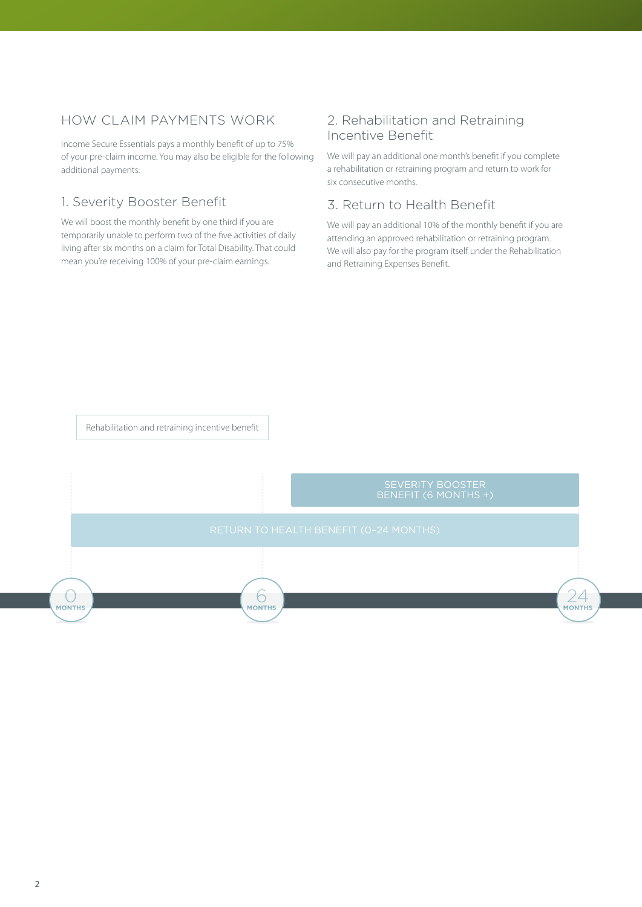# HOW CLAIM PAYMENTS WORK

Income Secure Essentials pays a monthly benefit of up to 75% of your pre-claim income. You may also be eligible for the following additional payments:

### 1. Severity Booster Benefit

We will boost the monthly benefit by one third if you are temporarily unable to perform two of the five activities of daily living after six months on a claim for Total Disability. That could mean you're receiving 100% of your pre-claim earnings.

### 2. Rehabilitation and Retraining Incentive Benefit

We will pay an additional one month's benefit if you complete a rehabilitation or retraining program and return to work for six consecutive months.

#### 3. Return to Health Benefit

We will pay an additional 10% of the monthly benefit if you are attending an approved rehabilitation or retraining program. We will also pay for the program itself under the Rehabilitation and Retraining Expenses Benefit.

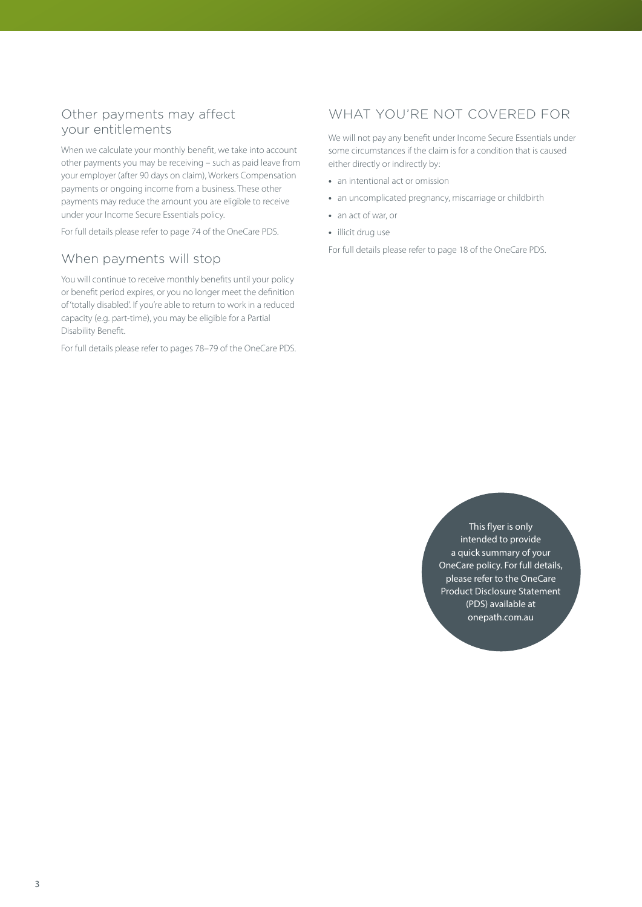### Other payments may affect your entitlements

When we calculate your monthly benefit, we take into account other payments you may be receiving – such as paid leave from your employer (after 90 days on claim), Workers Compensation payments or ongoing income from a business. These other payments may reduce the amount you are eligible to receive under your Income Secure Essentials policy.

For full details please refer to page 74 of the OneCare PDS.

### When payments will stop

You will continue to receive monthly benefits until your policy or benefit period expires, or you no longer meet the definition of 'totally disabled'. If you're able to return to work in a reduced capacity (e.g. part-time), you may be eligible for a Partial Disability Benefit.

For full details please refer to pages 78–79 of the OneCare PDS.

# WHAT YOU'RE NOT COVERED FOR

We will not pay any benefit under Income Secure Essentials under some circumstances if the claim is for a condition that is caused either directly or indirectly by:

- **•** an intentional act or omission
- **•** an uncomplicated pregnancy, miscarriage or childbirth
- **•** an act of war, or
- **•** illicit drug use

For full details please refer to page 18 of the OneCare PDS.

This flyer is only intended to provide a quick summary of your OneCare policy. For full details, please refer to the OneCare Product Disclosure Statement (PDS) available at [onepath.com.au](http://onepath.com.au)